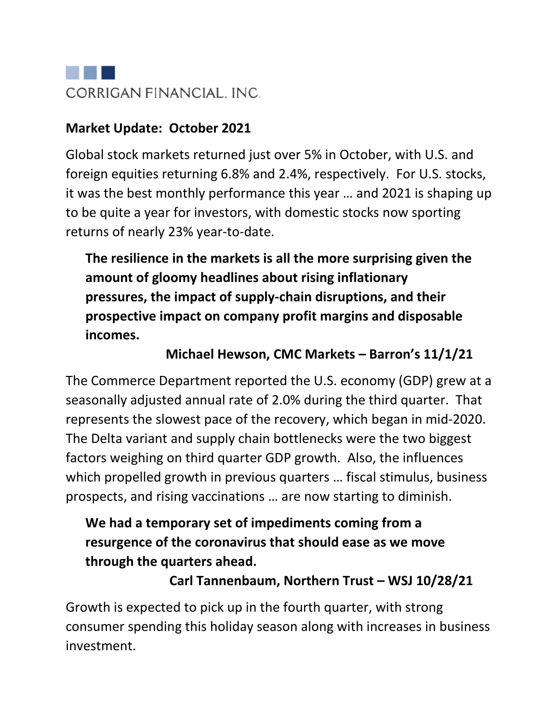

#### **Market Update: October 2021**

Global stock markets returned just over 5% in October, with U.S. and foreign equities returning 6.8% and 2.4%, respectively. For U.S. stocks, it was the best monthly performance this year … and 2021 is shaping up to be quite a year for investors, with domestic stocks now sporting returns of nearly 23% year-to-date.

**The resilience in the markets is all the more surprising given the amount of gloomy headlines about rising inflationary pressures, the impact of supply-chain disruptions, and their prospective impact on company profit margins and disposable incomes.**

#### **Michael Hewson, CMC Markets – Barron's 11/1/21**

The Commerce Department reported the U.S. economy (GDP) grew at a seasonally adjusted annual rate of 2.0% during the third quarter. That represents the slowest pace of the recovery, which began in mid-2020. The Delta variant and supply chain bottlenecks were the two biggest factors weighing on third quarter GDP growth. Also, the influences which propelled growth in previous quarters … fiscal stimulus, business prospects, and rising vaccinations … are now starting to diminish.

### **We had a temporary set of impediments coming from a resurgence of the coronavirus that should ease as we move through the quarters ahead.**

#### **Carl Tannenbaum, Northern Trust – WSJ 10/28/21**

Growth is expected to pick up in the fourth quarter, with strong consumer spending this holiday season along with increases in business investment.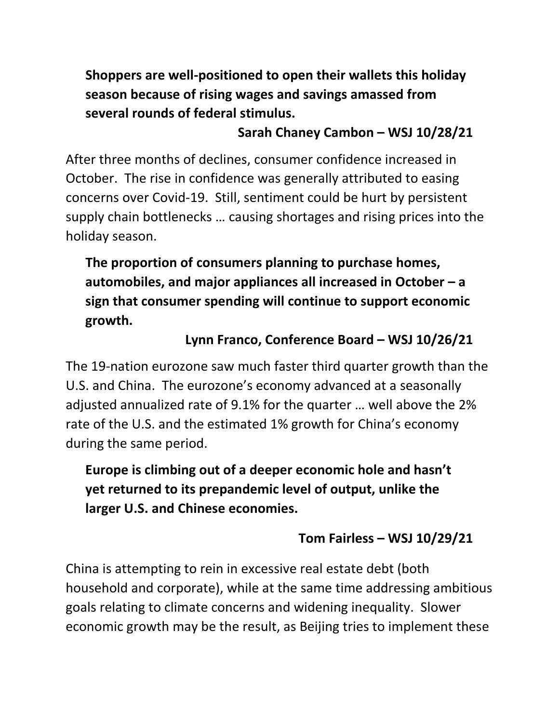**Shoppers are well-positioned to open their wallets this holiday season because of rising wages and savings amassed from several rounds of federal stimulus.**

### **Sarah Chaney Cambon – WSJ 10/28/21**

After three months of declines, consumer confidence increased in October. The rise in confidence was generally attributed to easing concerns over Covid-19. Still, sentiment could be hurt by persistent supply chain bottlenecks … causing shortages and rising prices into the holiday season.

**The proportion of consumers planning to purchase homes, automobiles, and major appliances all increased in October – a sign that consumer spending will continue to support economic growth.**

# **Lynn Franco, Conference Board – WSJ 10/26/21**

The 19-nation eurozone saw much faster third quarter growth than the U.S. and China. The eurozone's economy advanced at a seasonally adjusted annualized rate of 9.1% for the quarter … well above the 2% rate of the U.S. and the estimated 1% growth for China's economy during the same period.

**Europe is climbing out of a deeper economic hole and hasn't yet returned to its prepandemic level of output, unlike the larger U.S. and Chinese economies.**

## **Tom Fairless – WSJ 10/29/21**

China is attempting to rein in excessive real estate debt (both household and corporate), while at the same time addressing ambitious goals relating to climate concerns and widening inequality. Slower economic growth may be the result, as Beijing tries to implement these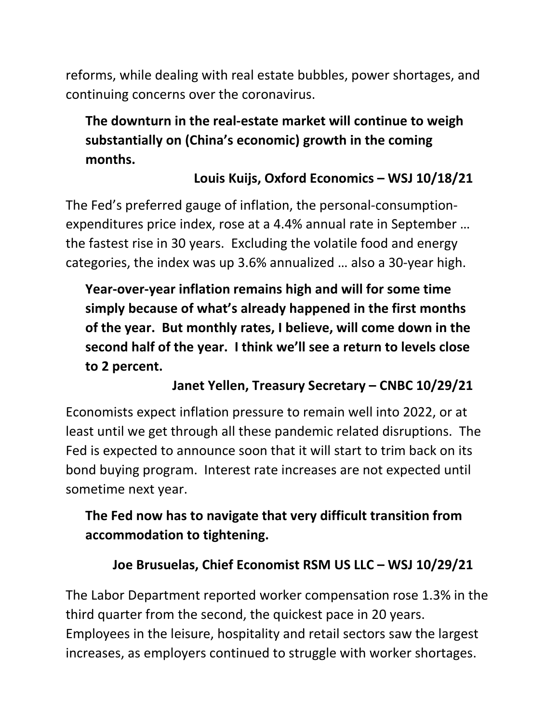reforms, while dealing with real estate bubbles, power shortages, and continuing concerns over the coronavirus.

# **The downturn in the real-estate market will continue to weigh substantially on (China's economic) growth in the coming months.**

## **Louis Kuijs, Oxford Economics – WSJ 10/18/21**

The Fed's preferred gauge of inflation, the personal-consumptionexpenditures price index, rose at a 4.4% annual rate in September … the fastest rise in 30 years. Excluding the volatile food and energy categories, the index was up 3.6% annualized … also a 30-year high.

**Year-over-year inflation remains high and will for some time simply because of what's already happened in the first months of the year. But monthly rates, I believe, will come down in the second half of the year. I think we'll see a return to levels close to 2 percent.**

## **Janet Yellen, Treasury Secretary – CNBC 10/29/21**

Economists expect inflation pressure to remain well into 2022, or at least until we get through all these pandemic related disruptions. The Fed is expected to announce soon that it will start to trim back on its bond buying program. Interest rate increases are not expected until sometime next year.

## **The Fed now has to navigate that very difficult transition from accommodation to tightening.**

#### **Joe Brusuelas, Chief Economist RSM US LLC – WSJ 10/29/21**

The Labor Department reported worker compensation rose 1.3% in the third quarter from the second, the quickest pace in 20 years. Employees in the leisure, hospitality and retail sectors saw the largest increases, as employers continued to struggle with worker shortages.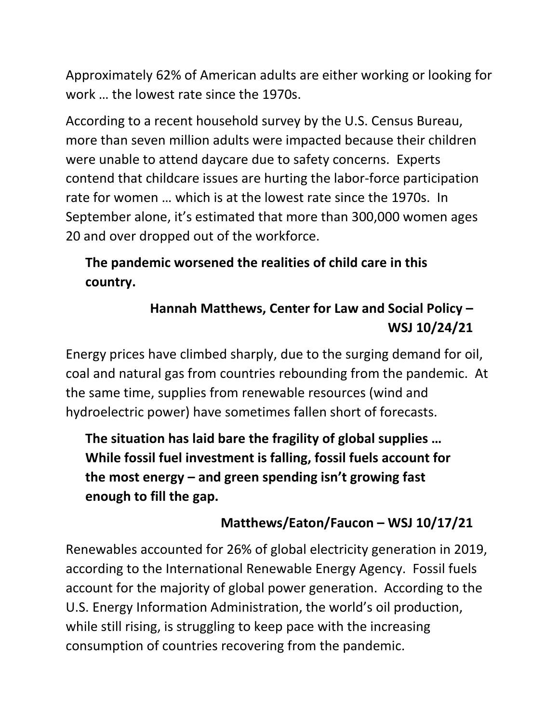Approximately 62% of American adults are either working or looking for work … the lowest rate since the 1970s.

According to a recent household survey by the U.S. Census Bureau, more than seven million adults were impacted because their children were unable to attend daycare due to safety concerns. Experts contend that childcare issues are hurting the labor-force participation rate for women … which is at the lowest rate since the 1970s. In September alone, it's estimated that more than 300,000 women ages 20 and over dropped out of the workforce.

# **The pandemic worsened the realities of child care in this country.**

# **Hannah Matthews, Center for Law and Social Policy – WSJ 10/24/21**

Energy prices have climbed sharply, due to the surging demand for oil, coal and natural gas from countries rebounding from the pandemic. At the same time, supplies from renewable resources (wind and hydroelectric power) have sometimes fallen short of forecasts.

**The situation has laid bare the fragility of global supplies … While fossil fuel investment is falling, fossil fuels account for the most energy – and green spending isn't growing fast enough to fill the gap.**

## **Matthews/Eaton/Faucon – WSJ 10/17/21**

Renewables accounted for 26% of global electricity generation in 2019, according to the International Renewable Energy Agency. Fossil fuels account for the majority of global power generation. According to the U.S. Energy Information Administration, the world's oil production, while still rising, is struggling to keep pace with the increasing consumption of countries recovering from the pandemic.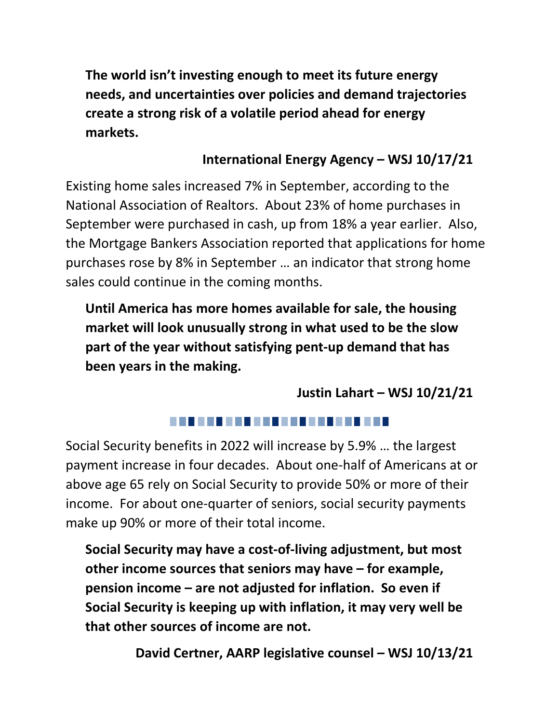**The world isn't investing enough to meet its future energy needs, and uncertainties over policies and demand trajectories create a strong risk of a volatile period ahead for energy markets.**

#### **International Energy Agency – WSJ 10/17/21**

Existing home sales increased 7% in September, according to the National Association of Realtors. About 23% of home purchases in September were purchased in cash, up from 18% a year earlier. Also, the Mortgage Bankers Association reported that applications for home purchases rose by 8% in September … an indicator that strong home sales could continue in the coming months.

**Until America has more homes available for sale, the housing market will look unusually strong in what used to be the slow part of the year without satisfying pent-up demand that has been years in the making.**

**Justin Lahart – WSJ 10/21/21**

#### 

Social Security benefits in 2022 will increase by 5.9% … the largest payment increase in four decades. About one-half of Americans at or above age 65 rely on Social Security to provide 50% or more of their income. For about one-quarter of seniors, social security payments make up 90% or more of their total income.

**Social Security may have a cost-of-living adjustment, but most other income sources that seniors may have – for example, pension income – are not adjusted for inflation. So even if Social Security is keeping up with inflation, it may very well be that other sources of income are not.**

**David Certner, AARP legislative counsel – WSJ 10/13/21**